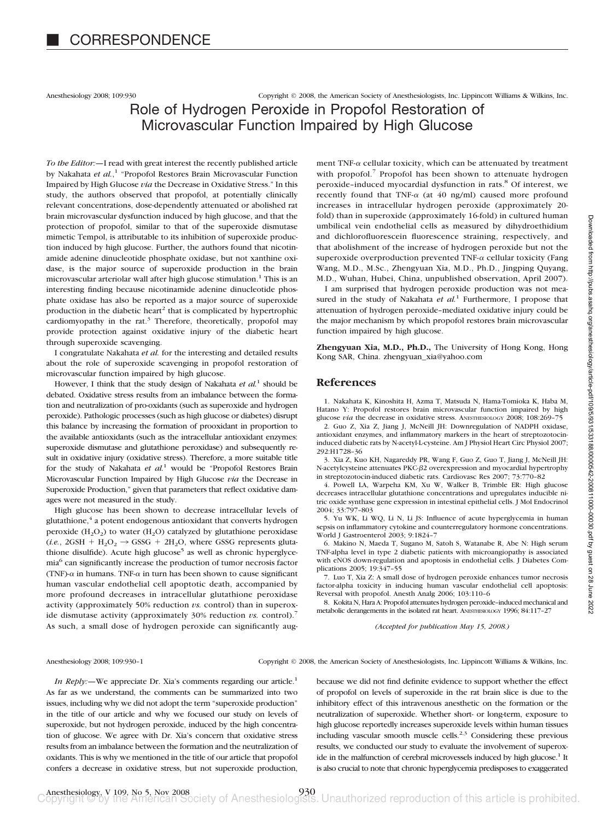Anesthesiology 2008; 109:930 Copyright © 2008, the American Society of Anesthesiologists, Inc. Lippincott Williams & Wilkins, Inc.

# Role of Hydrogen Peroxide in Propofol Restoration of Microvascular Function Impaired by High Glucose

*To the Editor:—*I read with great interest the recently published article by Nakahata *et al.*, <sup>1</sup> "Propofol Restores Brain Microvascular Function Impaired by High Glucose *via* the Decrease in Oxidative Stress." In this study, the authors observed that propofol, at potentially clinically relevant concentrations, dose-dependently attenuated or abolished rat brain microvascular dysfunction induced by high glucose, and that the protection of propofol, similar to that of the superoxide dismutase mimetic Tempol, is attributable to its inhibition of superoxide production induced by high glucose. Further, the authors found that nicotinamide adenine dinucleotide phosphate oxidase, but not xanthine oxidase, is the major source of superoxide production in the brain microvascular arteriolar wall after high glucose stimulation.<sup>1</sup> This is an interesting finding because nicotinamide adenine dinucleotide phosphate oxidase has also be reported as a major source of superoxide production in the diabetic heart<sup>2</sup> that is complicated by hypertrophic cardiomyopathy in the rat. $3$  Therefore, theoretically, propofol may provide protection against oxidative injury of the diabetic heart through superoxide scavenging.

I congratulate Nakahata *et al.* for the interesting and detailed results about the role of superoxide scavenging in propofol restoration of microvascular function impaired by high glucose.

However, I think that the study design of Nakahata *et al.*<sup>1</sup> should be debated. Oxidative stress results from an imbalance between the formation and neutralization of pro-oxidants (such as superoxide and hydrogen peroxide). Pathologic processes (such as high glucose or diabetes) disrupt this balance by increasing the formation of prooxidant in proportion to the available antioxidants (such as the intracellular antioxidant enzymes: superoxide dismutase and glutathione peroxidase) and subsequently result in oxidative injury (oxidative stress). Therefore, a more suitable title for the study of Nakahata *et al.*<sup>1</sup> would be "Propofol Restores Brain Microvascular Function Impaired by High Glucose *via* the Decrease in Superoxide Production," given that parameters that reflect oxidative damages were not measured in the study.

High glucose has been shown to decrease intracellular levels of glutathione,<sup>4</sup> a potent endogenous antioxidant that converts hydrogen peroxide  $(H_2O_2)$  to water  $(H_2O)$  catalyzed by glutathione peroxidase  $(i.e., 2GSH + H<sub>2</sub>O<sub>2</sub> \rightarrow GSSG + 2H<sub>2</sub>O$ , where GSSG represents glutathione disulfide). Acute high glucose<sup>5</sup> as well as chronic hyperglycemia6 can significantly increase the production of tumor necrosis factor (TNF)- $\alpha$  in humans. TNF- $\alpha$  in turn has been shown to cause significant human vascular endothelial cell apoptotic death, accompanied by more profound decreases in intracellular glutathione peroxidase activity (approximately 50% reduction *vs.* control) than in superoxide dismutase activity (approximately 30% reduction *vs.* control).<sup>7</sup> As such, a small dose of hydrogen peroxide can significantly aug-

ment TNF- $\alpha$  cellular toxicity, which can be attenuated by treatment with propofol.<sup>7</sup> Propofol has been shown to attenuate hydrogen peroxide-induced myocardial dysfunction in rats.<sup>8</sup> Of interest, we recently found that TNF- $\alpha$  (at 40 ng/ml) caused more profound increases in intracellular hydrogen peroxide (approximately 20 fold) than in superoxide (approximately 16-fold) in cultured human umbilical vein endothelial cells as measured by dihydroethidium and dichlorofluorescein fluorescence straining, respectively, and that abolishment of the increase of hydrogen peroxide but not the superoxide overproduction prevented TNF- $\alpha$  cellular toxicity (Fang Wang, M.D., M.Sc., Zhengyuan Xia, M.D., Ph.D., Jingping Quyang, M.D., Wuhan, Hubei, China, unpublished observation, April 2007).

I am surprised that hydrogen peroxide production was not measured in the study of Nakahata et al.<sup>1</sup> Furthermore, I propose that attenuation of hydrogen peroxide–mediated oxidative injury could be the major mechanism by which propofol restores brain microvascular function impaired by high glucose.

**Zhengyuan Xia, M.D., Ph.D.,** The University of Hong Kong, Hong Kong SAR, China. zhengyuan\_xia@yahoo.com

## **References**

1. Nakahata K, Kinoshita H, Azma T, Matsuda N, Hama-Tomioka K, Haba M, Hatano Y: Propofol restores brain microvascular function impaired by high glucose *via* the decrease in oxidative stress. ANESTHESIOLOGY 2008; 108:269-75 2. Guo Z, Xia Z, Jiang J, McNeill JH: Downregulation of NADPH oxidase, antioxidant enzymes, and inflammatory markers in the heart of streptozotocininduced diabetic rats by N-acetyl-L-cysteine. Am J Physiol Heart Circ Physiol 2007; 292:H1728–36

3. Xia Z, Kuo KH, Nagareddy PR, Wang F, Guo Z, Guo T, Jiang J, McNeill JH: N-acetylcysteine attenuates PKC- $\beta$ 2 overexpression and myocardial hypertrophy in streptozotocin-induced diabetic rats. Cardiovasc Res 2007; 73:770–82

4. Powell LA, Warpeha KM, Xu W, Walker B, Trimble ER: High glucose decreases intracellular glutathione concentrations and upregulates inducible nitric oxide synthase gene expression in intestinal epithelial cells. J Mol Endocrinol 2004; 33:797–803

5. Yu WK, Li WQ, Li N, Li JS: Influence of acute hyperglycemia in human sepsis on inflammatory cytokine and counterregulatory hormone concentrations. World J Gastroenterol 2003; 9:1824–7

6. Makino N, Maeda T, Sugano M, Satoh S, Watanabe R, Abe N: High serum TNF-alpha level in type 2 diabetic patients with microangiopathy is associated with eNOS down-regulation and apoptosis in endothelial cells. J Diabetes Complications 2005; 19:347–55

7. Luo T, Xia Z: A small dose of hydrogen peroxide enhances tumor necrosis factor-alpha toxicity in inducing human vascular endothelial cell apoptosis: Reversal with propofol. Anesth Analg 2006; 103:110–6

8. Kokita N, Hara A: Propofol attenuates hydrogen peroxide–induced mechanical and metabolic derangements in the isolated rat heart. ANESTHESIOLOGY 1996; 84:117–27

*(Accepted for publication May 15, 2008.)*

Anesthesiology 2008; 109:930–1 Copyright © 2008, the American Society of Anesthesiologists, Inc. Lippincott Williams & Wilkins, Inc.

*In Reply:*—We appreciate Dr. Xia's comments regarding our article.<sup>1</sup> As far as we understand, the comments can be summarized into two issues, including why we did not adopt the term "superoxide production" in the title of our article and why we focused our study on levels of superoxide, but not hydrogen peroxide, induced by the high concentration of glucose. We agree with Dr. Xia's concern that oxidative stress results from an imbalance between the formation and the neutralization of oxidants. This is why we mentioned in the title of our article that propofol confers a decrease in oxidative stress, but not superoxide production,

because we did not find definite evidence to support whether the effect of propofol on levels of superoxide in the rat brain slice is due to the inhibitory effect of this intravenous anesthetic on the formation or the neutralization of superoxide. Whether short- or long-term, exposure to high glucose reportedly increases superoxide levels within human tissues including vascular smooth muscle cells. $2,3$  Considering these previous results, we conducted our study to evaluate the involvement of superoxide in the malfunction of cerebral microvessels induced by high glucose.<sup>1</sup> It is also crucial to note that chronic hyperglycemia predisposes to exaggerated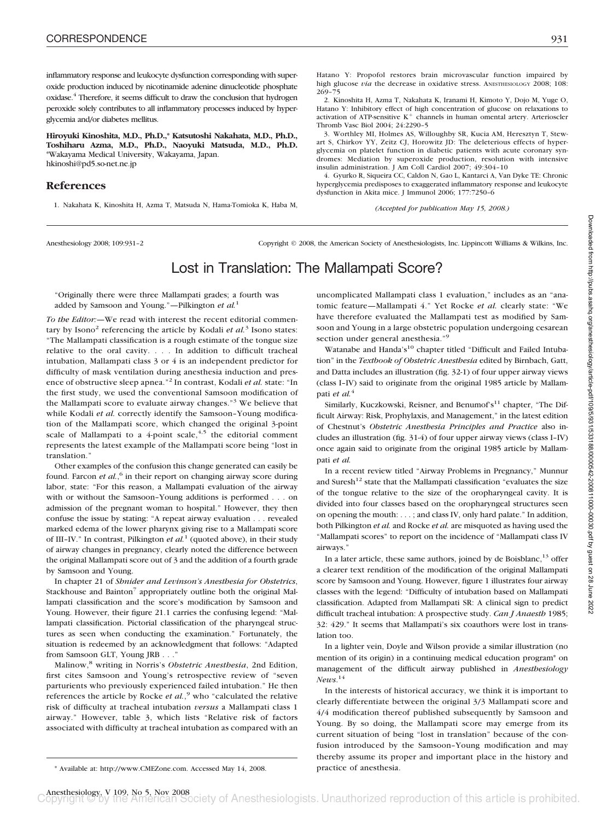inflammatory response and leukocyte dysfunction corresponding with superoxide production induced by nicotinamide adenine dinucleotide phosphate oxidase.4 Therefore, it seems difficult to draw the conclusion that hydrogen peroxide solely contributes to all inflammatory processes induced by hyperglycemia and/or diabetes mellitus.

**Hiroyuki Kinoshita, M.D., Ph.D.,\* Katsutoshi Nakahata, M.D., Ph.D., Toshiharu Azma, M.D., Ph.D., Naoyuki Matsuda, M.D., Ph.D.** \*Wakayama Medical University, Wakayama, Japan. hkinoshi@pd5.so-net.ne.jp

## **References**

1. Nakahata K, Kinoshita H, Azma T, Matsuda N, Hama-Tomioka K, Haba M,

Hatano Y: Propofol restores brain microvascular function impaired by high glucose *via* the decrease in oxidative stress. ANESTHESIOLOGY 2008; 108: 269–75

2. Kinoshita H, Azma T, Nakahata K, Iranami H, Kimoto Y, Dojo M, Yuge O, Hatano Y: Inhibitory effect of high concentration of glucose on relaxations to activation of ATP-sensitive  $K^+$  channels in human omental artery. Arterioscler Thromb Vasc Biol 2004; 24:2290–5

3. Worthley MI, Holmes AS, Willoughby SR, Kucia AM, Heresztyn T, Stewart S, Chirkov YY, Zeitz CJ, Horowitz JD: The deleterious effects of hyperglycemia on platelet function in diabetic patients with acute coronary syndromes: Mediation by superoxide production, resolution with intensive insulin administration. J Am Coll Cardiol 2007; 49:304–10

4. Gyurko R, Siqueira CC, Caldon N, Gao L, Kantarci A, Van Dyke TE: Chronic hyperglycemia predisposes to exaggerated inflammatory response and leukocyte dysfunction in Akita mice. J Immunol 2006; 177:7250–6

*(Accepted for publication May 15, 2008.)*

Anesthesiology 2008; 109:931–2 Copyright © 2008, the American Society of Anesthesiologists, Inc. Lippincott Williams & Wilkins, Inc.

# Lost in Translation: The Mallampati Score?

"Originally there were three Mallampati grades; a fourth was added by Samsoon and Young."—Pilkington *et al.*<sup>1</sup>

*To the Editor:—*We read with interest the recent editorial commentary by Isono<sup>2</sup> referencing the article by Kodali *et al.*<sup>3</sup> Isono states: "The Mallampati classification is a rough estimate of the tongue size relative to the oral cavity. . . . In addition to difficult tracheal intubation, Mallampati class 3 or 4 is an independent predictor for difficulty of mask ventilation during anesthesia induction and presence of obstructive sleep apnea."<sup>2</sup> In contrast, Kodali *et al.* state: "In the first study, we used the conventional Samsoon modification of the Mallampati score to evaluate airway changes."<sup>3</sup> We believe that while Kodali et al. correctly identify the Samsoon-Young modification of the Mallampati score, which changed the original 3-point scale of Mallampati to a 4-point scale,  $4.5$  the editorial comment represents the latest example of the Mallampati score being "lost in translation."

Other examples of the confusion this change generated can easily be found. Farcon *et al.*,<sup>6</sup> in their report on changing airway score during labor, state: "For this reason, a Mallampati evaluation of the airway with or without the Samsoon–Young additions is performed . . . on admission of the pregnant woman to hospital." However, they then confuse the issue by stating: "A repeat airway evaluation... revealed marked edema of the lower pharynx giving rise to a Mallampati score of III–IV." In contrast, Pilkington *et al.*<sup>1</sup> (quoted above), in their study of airway changes in pregnancy, clearly noted the difference between the original Mallampati score out of 3 and the addition of a fourth grade by Samsoon and Young.

In chapter 21 of *Shnider and Levinson's Anesthesia for Obstetrics*, Stackhouse and Bainton<sup>7</sup> appropriately outline both the original Mallampati classification and the score's modification by Samsoon and Young. However, their figure 21.1 carries the confusing legend: "Mallampati classification. Pictorial classification of the pharyngeal structures as seen when conducting the examination." Fortunately, the situation is redeemed by an acknowledgment that follows: "Adapted from Samsoon GLT, Young JRB . . ."

Malinow,<sup>8</sup> writing in Norris's *Obstetric Anesthesia*, 2nd Edition, first cites Samsoon and Young's retrospective review of "seven parturients who previously experienced failed intubation." He then references the article by Rocke *et al.*,<sup>9</sup> who "calculated the relative risk of difficulty at tracheal intubation *versus* a Mallampati class 1 airway." However, table 3, which lists "Relative risk of factors associated with difficulty at tracheal intubation as compared with an uncomplicated Mallampati class 1 evaluation," includes as an "anatomic feature—Mallampati 4." Yet Rocke *et al.* clearly state: "We have therefore evaluated the Mallampati test as modified by Samsoon and Young in a large obstetric population undergoing cesarean section under general anesthesia."<sup>9</sup>

Watanabe and Handa's<sup>10</sup> chapter titled "Difficult and Failed Intubation" in the *Textbook of Obstetric Anesthesia* edited by Birnbach, Gatt, and Datta includes an illustration (fig. 32-1) of four upper airway views (class I–IV) said to originate from the original 1985 article by Mallampati *et al.*<sup>4</sup>

Similarly, Kuczkowski, Reisner, and Benumof's $^{11}$  chapter, "The Difficult Airway: Risk, Prophylaxis, and Management," in the latest edition of Chestnut's *Obstetric Anesthesia Principles and Practice* also includes an illustration (fig. 31-4) of four upper airway views (class I–IV) once again said to originate from the original 1985 article by Mallampati *et al.*

In a recent review titled "Airway Problems in Pregnancy," Munnur and Suresh<sup>12</sup> state that the Mallampati classification "evaluates the size of the tongue relative to the size of the oropharyngeal cavity. It is divided into four classes based on the oropharyngeal structures seen on opening the mouth: . . . ; and class IV, only hard palate." In addition, both Pilkington *et al.* and Rocke *et al.* are misquoted as having used the "Mallampati scores" to report on the incidence of "Mallampati class IV airways."

In a later article, these same authors, joined by de Boisblanc,  $13$  offer a clearer text rendition of the modification of the original Mallampati score by Samsoon and Young. However, figure 1 illustrates four airway classes with the legend: "Difficulty of intubation based on Mallampati classification. Adapted from Mallampati SR: A clinical sign to predict difficult tracheal intubation: A prospective study. *Can J Anaesth* 1985; 32: 429." It seems that Mallampati's six coauthors were lost in translation too.

In a lighter vein, Doyle and Wilson provide a similar illustration (no mention of its origin) in a continuing medical education program\* on management of the difficult airway published in *Anesthesiology News*. 14

In the interests of historical accuracy, we think it is important to clearly differentiate between the original 3/3 Mallampati score and 4/4 modification thereof published subsequently by Samsoon and Young. By so doing, the Mallampati score may emerge from its current situation of being "lost in translation" because of the confusion introduced by the Samsoon–Young modification and may thereby assume its proper and important place in the history and

<sup>\*</sup> Available at: http://www.CMEZone.com. Accessed May 14, 2008. practice of anesthesia.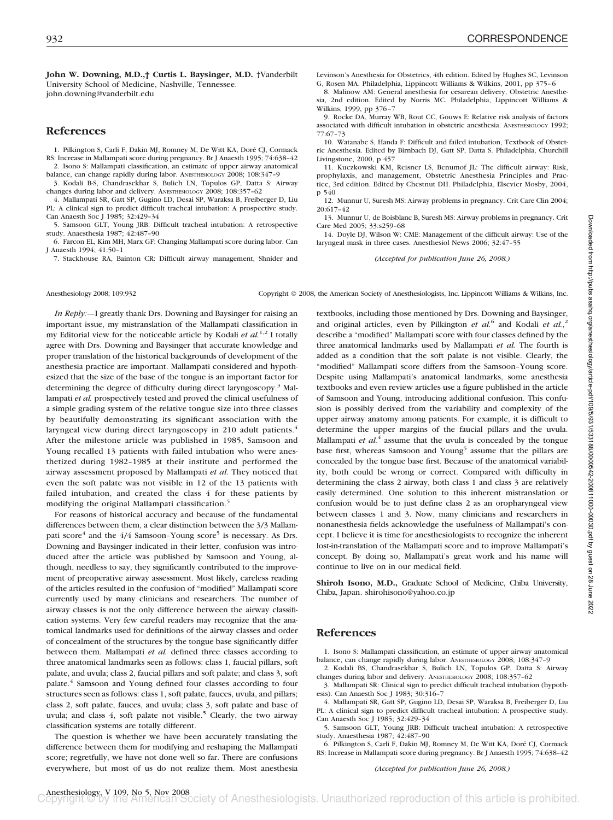**John W. Downing, M.D.,† Curtis L. Baysinger, M.D.** †Vanderbilt University School of Medicine, Nashville, Tennessee. john.downing@vanderbilt.edu

## **References**

1. Pilkington S, Carli F, Dakin MJ, Romney M, De Witt KA, Doré CJ, Cormack RS: Increase in Mallampati score during pregnancy. Br J Anaesth 1995; 74:638–42 2. Isono S: Mallampati classification, an estimate of upper airway anatomical

balance, can change rapidly during labor. ANESTHESIOLOGY 2008; 108:347–9 3. Kodali B-S, Chandrasekhar S, Bulich LN, Topulos GP, Datta S: Airway

changes during labor and delivery. ANESTHESIOLOGY 2008; 108:357–62 4. Mallampati SR, Gatt SP, Gugino LD, Desai SP, Waraksa B, Freiberger D, Liu PL: A clinical sign to predict difficult tracheal intubation: A prospective study. Can Anaesth Soc J 1985; 32:429–34

5. Samsoon GLT, Young JRB: Difficult tracheal intubation: A retrospective study. Anaesthesia 1987; 42:487–90

6. Farcon EL, Kim MH, Marx GF: Changing Mallampati score during labor. Can J Anaesth 1994; 41:50–1

7. Stackhouse RA, Bainton CR: Difficult airway management, Shnider and

Levinson's Anesthesia for Obstetrics, 4th edition. Edited by Hughes SC, Levinson G, Rosen MA. Philadelphia, Lippincott Williams & Wilkins, 2001, pp 375–6 8. Malinow AM: General anesthesia for cesarean delivery, Obstetric Anesthe-

sia, 2nd edition. Edited by Norris MC. Philadelphia, Lippincott Williams & Wilkins, 1999, pp 376–7

9. Rocke DA, Murray WB, Rout CC, Gouws E: Relative risk analysis of factors associated with difficult intubation in obstetric anesthesia. ANESTHESIOLOGY 1992; 77:67–73

10. Watanabe S, Handa F: Difficult and failed intubation, Textbook of Obstetric Anesthesia. Edited by Birnbach DJ, Gatt SP, Datta S. Philadelphia, Churchill Livingstone, 2000, p $45$ 7

11. Kuczkowski KM, Reisner LS, Benumof JL: The difficult airway: Risk, prophylaxis, and management, Obstetric Anesthesia Principles and Practice, 3rd edition. Edited by Chestnut DH. Philadelphia, Elsevier Mosby, 2004, p 540

12. Munnur U, Suresh MS: Airway problems in pregnancy. Crit Care Clin 2004; 20:617–42

13. Munnur U, de Boisblanc B, Suresh MS: Airway problems in pregnancy. Crit Care Med 2005; 33:s259–68

14. Doyle DJ, Wilson W: CME: Management of the difficult airway: Use of the laryngeal mask in three cases. Anesthesiol News 2006; 32:47–55

*(Accepted for publication June 26, 2008.)*

Anesthesiology 2008; 109:932 Copyright © 2008, the American Society of Anesthesiologists, Inc. Lippincott Williams & Wilkins, Inc.

*In Reply:—*I greatly thank Drs. Downing and Baysinger for raising an important issue, my mistranslation of the Mallampati classification in my Editorial view for the noticeable article by Kodali *et al.*<sup>1,2</sup> I totally agree with Drs. Downing and Baysinger that accurate knowledge and proper translation of the historical backgrounds of development of the anesthesia practice are important. Mallampati considered and hypothesized that the size of the base of the tongue is an important factor for determining the degree of difficulty during direct laryngoscopy.<sup>3</sup> Mallampati *et al.* prospectively tested and proved the clinical usefulness of a simple grading system of the relative tongue size into three classes by beautifully demonstrating its significant association with the laryngeal view during direct laryngoscopy in 210 adult patients.<sup>4</sup> After the milestone article was published in 1985, Samsoon and Young recalled 13 patients with failed intubation who were anesthetized during 1982–1985 at their institute and performed the airway assessment proposed by Mallampati *et al.* They noticed that even the soft palate was not visible in 12 of the 13 patients with failed intubation, and created the class 4 for these patients by modifying the original Mallampati classification.<sup>5</sup>

For reasons of historical accuracy and because of the fundamental differences between them, a clear distinction between the 3/3 Mallampati score $4$  and the  $4/4$  Samsoon–Young score<sup>5</sup> is necessary. As Drs. Downing and Baysinger indicated in their letter, confusion was introduced after the article was published by Samsoon and Young, although, needless to say, they significantly contributed to the improvement of preoperative airway assessment. Most likely, careless reading of the articles resulted in the confusion of "modified" Mallampati score currently used by many clinicians and researchers. The number of airway classes is not the only difference between the airway classification systems. Very few careful readers may recognize that the anatomical landmarks used for definitions of the airway classes and order of concealment of the structures by the tongue base significantly differ between them. Mallampati *et al.* defined three classes according to three anatomical landmarks seen as follows: class 1, faucial pillars, soft palate, and uvula; class 2, faucial pillars and soft palate; and class 3, soft palate.4 Samsoon and Young defined four classes according to four structures seen as follows: class 1, soft palate, fauces, uvula, and pillars; class 2, soft palate, fauces, and uvula; class 3, soft palate and base of uvula; and class 4, soft palate not visible.<sup>5</sup> Clearly, the two airway classification systems are totally different.

The question is whether we have been accurately translating the difference between them for modifying and reshaping the Mallampati score; regretfully, we have not done well so far. There are confusions everywhere, but most of us do not realize them. Most anesthesia textbooks, including those mentioned by Drs. Downing and Baysinger, and original articles, even by Pilkington *et al.*<sup>6</sup> and Kodali *et al.*,<sup>2</sup> describe a "modified" Mallampati score with four classes defined by the three anatomical landmarks used by Mallampati *et al.* The fourth is added as a condition that the soft palate is not visible. Clearly, the "modified" Mallampati score differs from the Samsoon–Young score. Despite using Mallampati's anatomical landmarks, some anesthesia textbooks and even review articles use a figure published in the article of Samsoon and Young, introducing additional confusion. This confusion is possibly derived from the variability and complexity of the upper airway anatomy among patients. For example, it is difficult to determine the upper margins of the faucial pillars and the uvula. Mallampati *et al.*<sup>4</sup> assume that the uvula is concealed by the tongue base first, whereas Samsoon and Young<sup>5</sup> assume that the pillars are concealed by the tongue base first. Because of the anatomical variability, both could be wrong or correct. Compared with difficulty in determining the class 2 airway, both class 1 and class 3 are relatively easily determined. One solution to this inherent mistranslation or confusion would be to just define class 2 as an oropharyngeal view between classes 1 and 3. Now, many clinicians and researchers in nonanesthesia fields acknowledge the usefulness of Mallampati's concept. I believe it is time for anesthesiologists to recognize the inherent lost-in-translation of the Mallampati score and to improve Mallampati's concept. By doing so, Mallampati's great work and his name will continue to live on in our medical field.

**Shiroh Isono, M.D.,** Graduate School of Medicine, Chiba University, Chiba, Japan. shirohisono@yahoo.co.jp

## **References**

1. Isono S: Mallampati classification, an estimate of upper airway anatomical balance, can change rapidly during labor. ANESTHESIOLOGY 2008; 108:347–9

2. Kodali BS, Chandrasekhar S, Bulich LN, Topulos GP, Datta S: Airway changes during labor and delivery. ANESTHESIOLOGY 2008; 108:357–62

3. Mallampati SR: Clinical sign to predict difficult tracheal intubation (hypothesis). Can Anaesth Soc J 1983; 30:316–7

4. Mallampati SR, Gatt SP, Gugino LD, Desai SP, Waraksa B, Freiberger D, Liu PL: A clinical sign to predict difficult tracheal intubation: A prospective study. Can Anaesth Soc J 1985; 32:429–34

5. Samsoon GLT, Young JRB: Difficult tracheal intubation: A retrospective study. Anaesthesia 1987; 42:487–90

6. Pilkington S, Carli F, Dakin MJ, Romney M, De Witt KA, Dore´ CJ, Cormack RS: Increase in Mallampati score during pregnancy. Br J Anaesth 1995; 74:638–42

#### *(Accepted for publication June 26, 2008.)*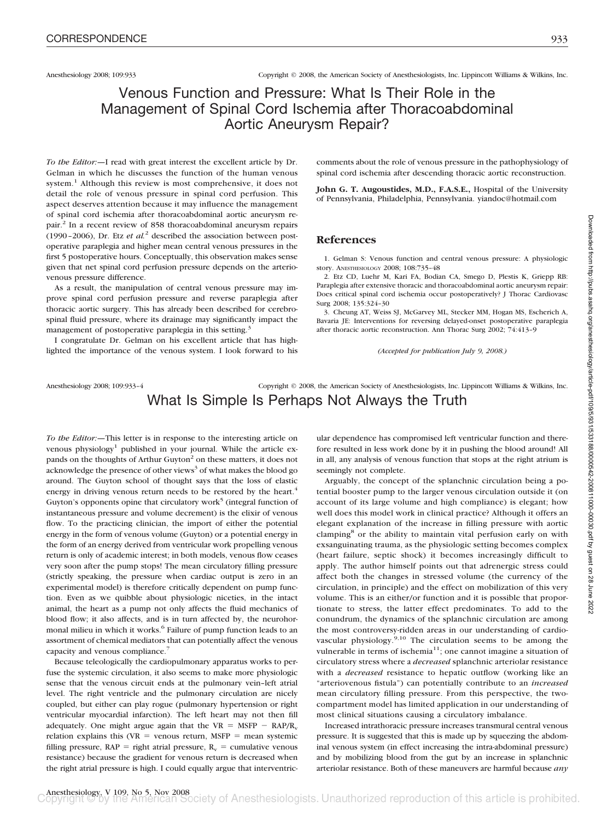# Venous Function and Pressure: What Is Their Role in the Management of Spinal Cord Ischemia after Thoracoabdominal Aortic Aneurysm Repair?

*To the Editor:—*I read with great interest the excellent article by Dr. Gelman in which he discusses the function of the human venous system.<sup>1</sup> Although this review is most comprehensive, it does not detail the role of venous pressure in spinal cord perfusion. This aspect deserves attention because it may influence the management of spinal cord ischemia after thoracoabdominal aortic aneurysm repair.2 In a recent review of 858 thoracoabdominal aneurysm repairs (1990–2006), Dr. Etz *et al.*<sup>2</sup> described the association between postoperative paraplegia and higher mean central venous pressures in the first 5 postoperative hours. Conceptually, this observation makes sense given that net spinal cord perfusion pressure depends on the arteriovenous pressure difference.

As a result, the manipulation of central venous pressure may improve spinal cord perfusion pressure and reverse paraplegia after thoracic aortic surgery. This has already been described for cerebrospinal fluid pressure, where its drainage may significantly impact the management of postoperative paraplegia in this setting.<sup>3</sup>

I congratulate Dr. Gelman on his excellent article that has highlighted the importance of the venous system. I look forward to his comments about the role of venous pressure in the pathophysiology of spinal cord ischemia after descending thoracic aortic reconstruction.

**John G. T. Augoustides, M.D., F.A.S.E.,** Hospital of the University of Pennsylvania, Philadelphia, Pennsylvania. yiandoc@hotmail.com

### **References**

1. Gelman S: Venous function and central venous pressure: A physiologic story. ANESTHESIOLOGY 2008; 108:735–48

2. Etz CD, Luehr M, Kari FA, Bodian CA, Smego D, Plestis K, Griepp RB: Paraplegia after extensive thoracic and thoracoabdominal aortic aneurysm repair: Does critical spinal cord ischemia occur postoperatively? J Thorac Cardiovasc Surg 2008; 135:324–30

3. Cheung AT, Weiss SJ, McGarvey ML, Stecker MM, Hogan MS, Escherich A, Bavaria JE: Interventions for reversing delayed-onset postoperative paraplegia after thoracic aortic reconstruction. Ann Thorac Surg 2002; 74:413–9

*(Accepted for publication July 9, 2008.)*

## Anesthesiology 2008; 109:933–4 Copyright © 2008, the American Society of Anesthesiologists, Inc. Lippincott Williams & Wilkins, Inc. What Is Simple Is Perhaps Not Always the Truth

*To the Editor:—*This letter is in response to the interesting article on venous physiology<sup>1</sup> published in your journal. While the article expands on the thoughts of Arthur Guyton<sup>2</sup> on these matters, it does not acknowledge the presence of other views<sup>3</sup> of what makes the blood go around. The Guyton school of thought says that the loss of elastic energy in driving venous return needs to be restored by the heart.<sup>4</sup> Guyton's opponents opine that circulatory work<sup>5</sup> (integral function of instantaneous pressure and volume decrement) is the elixir of venous flow. To the practicing clinician, the import of either the potential energy in the form of venous volume (Guyton) or a potential energy in the form of an energy derived from ventricular work propelling venous return is only of academic interest; in both models, venous flow ceases very soon after the pump stops! The mean circulatory filling pressure (strictly speaking, the pressure when cardiac output is zero in an experimental model) is therefore critically dependent on pump function. Even as we quibble about physiologic niceties, in the intact animal, the heart as a pump not only affects the fluid mechanics of blood flow; it also affects, and is in turn affected by, the neurohormonal milieu in which it works.<sup>6</sup> Failure of pump function leads to an assortment of chemical mediators that can potentially affect the venous capacity and venous compliance.<sup>7</sup>

Because teleologically the cardiopulmonary apparatus works to perfuse the systemic circulation, it also seems to make more physiologic sense that the venous circuit ends at the pulmonary vein–left atrial level. The right ventricle and the pulmonary circulation are nicely coupled, but either can play rogue (pulmonary hypertension or right ventricular myocardial infarction). The left heart may not then fill adequately. One might argue again that the  $VR = MSFP - RAP/R_v$ relation explains this  $(VR =$  venous return, MSFP = mean systemic filling pressure,  $\text{RAP} = \text{right}$  atrial pressure,  $\text{R}_v = \text{cumulative}$  venous resistance) because the gradient for venous return is decreased when the right atrial pressure is high. I could equally argue that interventricular dependence has compromised left ventricular function and therefore resulted in less work done by it in pushing the blood around! All in all, any analysis of venous function that stops at the right atrium is seemingly not complete.

Arguably, the concept of the splanchnic circulation being a potential booster pump to the larger venous circulation outside it (on account of its large volume and high compliance) is elegant; how well does this model work in clinical practice? Although it offers an elegant explanation of the increase in filling pressure with aortic clamping<sup>8</sup> or the ability to maintain vital perfusion early on with exsanguinating trauma, as the physiologic setting becomes complex (heart failure, septic shock) it becomes increasingly difficult to apply. The author himself points out that adrenergic stress could affect both the changes in stressed volume (the currency of the circulation, in principle) and the effect on mobilization of this very volume. This is an either/or function and it is possible that proportionate to stress, the latter effect predominates. To add to the conundrum, the dynamics of the splanchnic circulation are among the most controversy-ridden areas in our understanding of cardiovascular physiology.<sup>9,10</sup> The circulation seems to be among the vulnerable in terms of ischemia<sup>11</sup>; one cannot imagine a situation of circulatory stress where a *decreased* splanchnic arteriolar resistance with a *decreased* resistance to hepatic outflow (working like an "arteriovenous fistula") can potentially contribute to an *increased* mean circulatory filling pressure. From this perspective, the twocompartment model has limited application in our understanding of most clinical situations causing a circulatory imbalance.

Increased intrathoracic pressure increases transmural central venous pressure. It is suggested that this is made up by squeezing the abdominal venous system (in effect increasing the intra-abdominal pressure) and by mobilizing blood from the gut by an increase in splanchnic arteriolar resistance. Both of these maneuvers are harmful because *any*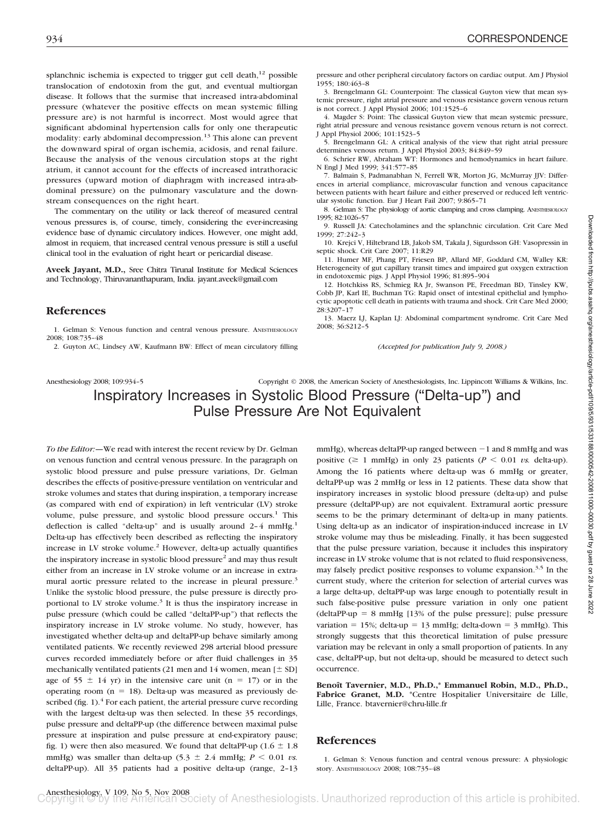splanchnic ischemia is expected to trigger gut cell death, $^{12}$  possible translocation of endotoxin from the gut, and eventual multiorgan disease. It follows that the surmise that increased intra-abdominal pressure (whatever the positive effects on mean systemic filling pressure are) is not harmful is incorrect. Most would agree that significant abdominal hypertension calls for only one therapeutic modality: early abdominal decompression.<sup>13</sup> This alone can prevent the downward spiral of organ ischemia, acidosis, and renal failure. Because the analysis of the venous circulation stops at the right atrium, it cannot account for the effects of increased intrathoracic pressures (upward motion of diaphragm with increased intra-abdominal pressure) on the pulmonary vasculature and the downstream consequences on the right heart.

The commentary on the utility or lack thereof of measured central venous pressures is, of course, timely, considering the ever-increasing evidence base of dynamic circulatory indices. However, one might add, almost in requiem, that increased central venous pressure is still a useful clinical tool in the evaluation of right heart or pericardial disease.

**Aveek Jayant, M.D.,** Sree Chitra Tirunal Institute for Medical Sciences and Technology, Thiruvananthapuram, India. jayant.aveek@gmail.com

### **References**

1. Gelman S: Venous function and central venous pressure. ANESTHESIOLOGY 2008; 108:735–48

2. Guyton AC, Lindsey AW, Kaufmann BW: Effect of mean circulatory filling

pressure and other peripheral circulatory factors on cardiac output. Am J Physiol 1955; 180:463–8

3. Brengelmann GL: Counterpoint: The classical Guyton view that mean systemic pressure, right atrial pressure and venous resistance govern venous return is not correct. J Appl Physiol 2006; 101:1525–6

4. Magder S: Point: The classical Guyton view that mean systemic pressure, right atrial pressure and venous resistance govern venous return is not correct. J Appl Physiol 2006; 101:1523–5

5. Brengelmann GL: A critical analysis of the view that right atrial pressure determines venous return. J Appl Physiol 2003; 84:849–59

6. Schrier RW, Abraham WT: Hormones and hemodynamics in heart failure. N Engl J Med 1999; 341:577–85

7. Balmain S, Padmanabhan N, Ferrell WR, Morton JG, McMurray JJV: Differences in arterial compliance, microvascular function and venous capacitance between patients with heart failure and either preserved or reduced left ventricular systolic function. Eur J Heart Fail 2007; 9:865–71

8. Gelman S: The physiology of aortic clamping and cross clamping. ANESTHESIOLOGY 1995; 82:1026–57

9. Russell JA: Catecholamines and the splanchnic circulation. Crit Care Med 1999; 27:242–3

10. Krejci V, Hiltebrand LB, Jakob SM, Takala J, Sigurdsson GH: Vasopressin in septic shock. Crit Care 2007; 11:R29

11. Humer MF, Phang PT, Friesen BP, Allard MF, Goddard CM, Walley KR: Heterogeneity of gut capillary transit times and impaired gut oxygen extraction in endotoxemic pigs. J Appl Physiol 1996; 81:895–904

12. Hotchkiss RS, Schmieg RA Jr, Swanson PE, Freedman BD, Tinsley KW, Cobb JP, Karl IE, Buchman TG: Rapid onset of intestinal epithelial and lymphocytic apoptotic cell death in patients with trauma and shock. Crit Care Med 2000; 28:3207–17

13. Maerz LJ, Kaplan LJ: Abdominal compartment syndrome. Crit Care Med 2008; 36:S212–5

*(Accepted for publication July 9, 2008.)*

## Anesthesiology 2008; 109:934–5 Copyright © 2008, the American Society of Anesthesiologists, Inc. Lippincott Williams & Wilkins, Inc. Inspiratory Increases in Systolic Blood Pressure ("Delta-up") and Pulse Pressure Are Not Equivalent

*To the Editor:—*We read with interest the recent review by Dr. Gelman on venous function and central venous pressure. In the paragraph on systolic blood pressure and pulse pressure variations, Dr. Gelman describes the effects of positive-pressure ventilation on ventricular and stroke volumes and states that during inspiration, a temporary increase (as compared with end of expiration) in left ventricular (LV) stroke volume, pulse pressure, and systolic blood pressure occurs.<sup>1</sup> This deflection is called "delta-up" and is usually around 2-4 mmHg.<sup>1</sup> Delta-up has effectively been described as reflecting the inspiratory increase in LV stroke volume.<sup>2</sup> However, delta-up actually quantifies the inspiratory increase in systolic blood pressure<sup>2</sup> and may thus result either from an increase in LV stroke volume or an increase in extramural aortic pressure related to the increase in pleural pressure.<sup>3</sup> Unlike the systolic blood pressure, the pulse pressure is directly proportional to LV stroke volume.<sup>3</sup> It is thus the inspiratory increase in pulse pressure (which could be called "deltaPP-up") that reflects the inspiratory increase in LV stroke volume. No study, however, has investigated whether delta-up and deltaPP-up behave similarly among ventilated patients. We recently reviewed 298 arterial blood pressure curves recorded immediately before or after fluid challenges in 35 mechanically ventilated patients (21 men and 14 women, mean  $[\pm SD]$ ) age of  $55 \pm 14$  yr) in the intensive care unit (n = 17) or in the operating room  $(n = 18)$ . Delta-up was measured as previously described (fig.  $1$ ).<sup>4</sup> For each patient, the arterial pressure curve recording with the largest delta-up was then selected. In these 35 recordings, pulse pressure and deltaPP-up (the difference between maximal pulse pressure at inspiration and pulse pressure at end-expiratory pause; fig. 1) were then also measured. We found that deltaPP-up ( $1.6 \pm 1.8$ ) mmHg) was smaller than delta-up  $(5.3 \pm 2.4 \text{ mmHg}; P \le 0.01 \text{ vs.})$ deltaPP-up). All 35 patients had a positive delta-up (range, 2–13 mmHg), whereas deltaPP-up ranged between  $-1$  and 8 mmHg and was positive ( $\geq 1$  mmHg) in only 23 patients ( $P \leq 0.01$  *vs.* delta-up). Among the 16 patients where delta-up was 6 mmHg or greater, deltaPP-up was 2 mmHg or less in 12 patients. These data show that inspiratory increases in systolic blood pressure (delta-up) and pulse pressure (deltaPP-up) are not equivalent. Extramural aortic pressure seems to be the primary determinant of delta-up in many patients. Using delta-up as an indicator of inspiration-induced increase in LV stroke volume may thus be misleading. Finally, it has been suggested that the pulse pressure variation, because it includes this inspiratory increase in LV stroke volume that is not related to fluid responsiveness, may falsely predict positive responses to volume expansion.<sup>3,5</sup> In the current study, where the criterion for selection of arterial curves was a large delta-up, deltaPP-up was large enough to potentially result in such false-positive pulse pressure variation in only one patient  $(deltaPP-up = 8 mmHg [13% of the pulse pressure]; pulse pressure$ variation =  $15\%$ ; delta-up =  $13 \text{ mmHg}$ ; delta-down =  $3 \text{ mmHg}$ ). This strongly suggests that this theoretical limitation of pulse pressure variation may be relevant in only a small proportion of patients. In any case, deltaPP-up, but not delta-up, should be measured to detect such occurrence.

Benoît Tavernier, M.D., Ph.D.,\* Emmanuel Robin, M.D., Ph.D., **Fabrice Granet, M.D.** \*Centre Hospitalier Universitaire de Lille, Lille, France. btavernier@chru-lille.fr

## **References**

1. Gelman S: Venous function and central venous pressure: A physiologic story. ANESTHESIOLOGY 2008; 108:735–48

Anesthesiology, V 109, No 5, Nov 2008<br> **Copyright C'by the American Society** of Anesthesiologists. Unauthorized reproduction of this article is prohibited.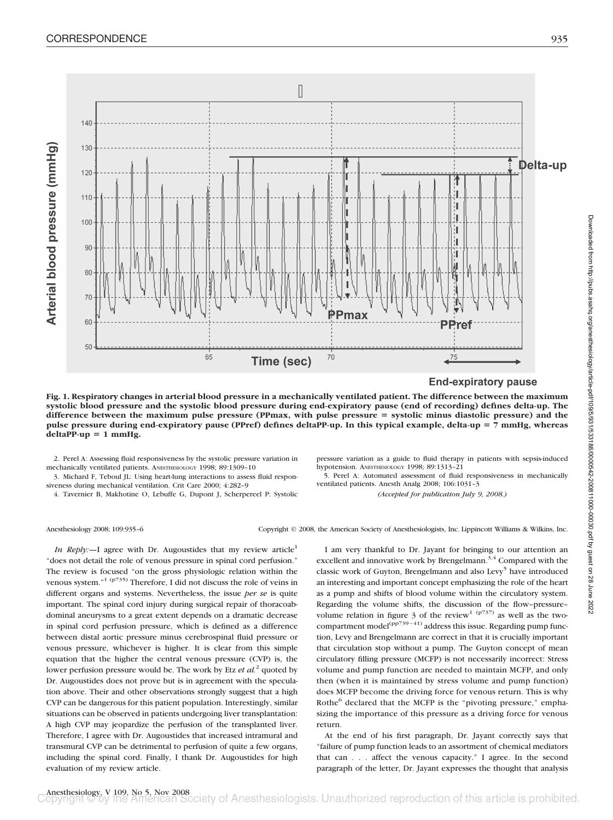

**End-expiratory pause** 

**Fig. 1. Respiratory changes in arterial blood pressure in a mechanically ventilated patient. The difference between the maximum systolic blood pressure and the systolic blood pressure during end-expiratory pause (end of recording) defines delta-up. The difference between the maximum pulse pressure (PPmax, with pulse pressure systolic minus diastolic pressure) and the pulse pressure during end-expiratory pause (PPref) defines deltaPP-up. In this typical example, delta-up 7 mmHg, whereas**  $delta$ P-up = 1 mmHg.

2. Perel A: Assessing fluid responsiveness by the systolic pressure variation in mechanically ventilated patients. ANESTHESIOLOGY 1998; 89:1309–10

3. Michard F, Teboul JL: Using heart-lung interactions to assess fluid responsiveness during mechanical ventilation. Crit Care 2000; 4:282–9

4. Tavernier B, Makhotine O, Lebuffe G, Dupont J, Scherpereel P: Systolic

pressure variation as a guide to fluid therapy in patients with sepsis-induced hypotension. ANESTHESIOLOGY 1998; 89:1313–21

5. Perel A: Automated assessment of fluid responsiveness in mechanically ventilated patients. Anesth Analg 2008; 106:1031–3

*(Accepted for publication July 9, 2008.)*

Downloaded from http://pubs.asahq.org/anesthesiology/article-pdf/109/5/931/533188/0000542-200811000-00030.pdf by guest on 28 June 2022

Downloaded from http://pubs.asahq.org/anesthesiology/article-pdf/109/5/931/533188/000642-2008100-00030.pdf by guest on 28 June 2022

Anesthesiology 2008; 109:935–6 Copyright © 2008, the American Society of Anesthesiologists, Inc. Lippincott Williams & Wilkins, Inc.

*In Reply:*—I agree with Dr. Augoustides that my review article<sup>1</sup> "does not detail the role of venous pressure in spinal cord perfusion." The review is focused "on the gross physiologic relation within the venous system."1 (p735) Therefore, I did not discuss the role of veins in different organs and systems. Nevertheless, the issue *per se* is quite important. The spinal cord injury during surgical repair of thoracoabdominal aneurysms to a great extent depends on a dramatic decrease in spinal cord perfusion pressure, which is defined as a difference between distal aortic pressure minus cerebrospinal fluid pressure or venous pressure, whichever is higher. It is clear from this simple equation that the higher the central venous pressure (CVP) is, the lower perfusion pressure would be. The work by Etz *et al.*<sup>2</sup> quoted by Dr. Augoustides does not prove but is in agreement with the speculation above. Their and other observations strongly suggest that a high CVP can be dangerous for this patient population. Interestingly, similar situations can be observed in patients undergoing liver transplantation: A high CVP may jeopardize the perfusion of the transplanted liver. Therefore, I agree with Dr. Augoustides that increased intramural and transmural CVP can be detrimental to perfusion of quite a few organs, including the spinal cord. Finally, I thank Dr. Augoustides for high evaluation of my review article.

I am very thankful to Dr. Jayant for bringing to our attention an excellent and innovative work by Brengelmann.<sup>3,4</sup> Compared with the classic work of Guyton, Brengelmann and also Levy<sup>5</sup> have introduced an interesting and important concept emphasizing the role of the heart as a pump and shifts of blood volume within the circulatory system. Regarding the volume shifts, the discussion of the flow–pressure– volume relation in figure 3 of the review<sup>1 (p737)</sup> as well as the twocompartment model<sup>(pp739-41)</sup> address this issue. Regarding pump function, Levy and Brengelmann are correct in that it is crucially important that circulation stop without a pump. The Guyton concept of mean circulatory filling pressure (MCFP) is not necessarily incorrect: Stress volume and pump function are needed to maintain MCFP, and only then (when it is maintained by stress volume and pump function) does MCFP become the driving force for venous return. This is why Rothe<sup>6</sup> declared that the MCFP is the "pivoting pressure," emphasizing the importance of this pressure as a driving force for venous return.

At the end of his first paragraph, Dr. Jayant correctly says that "failure of pump function leads to an assortment of chemical mediators that can... affect the venous capacity." I agree. In the second paragraph of the letter, Dr. Jayant expresses the thought that analysis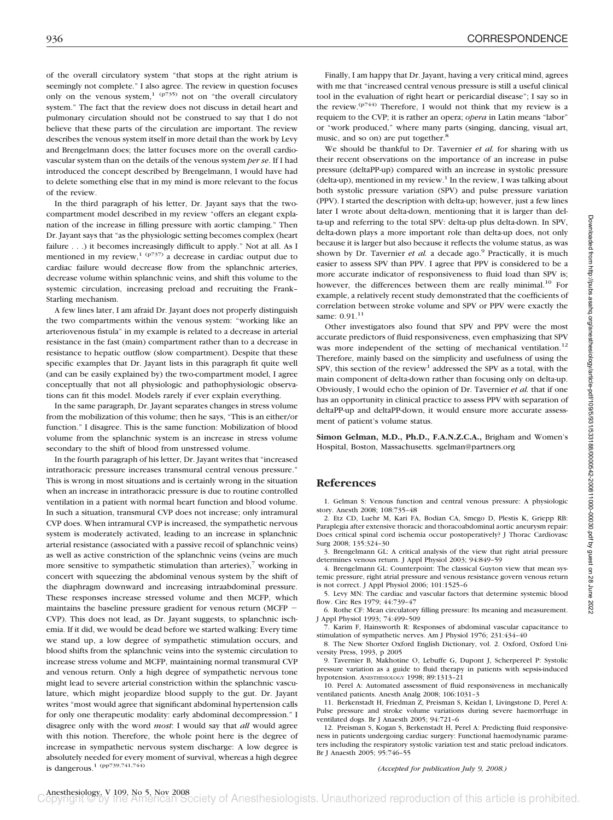of the overall circulatory system "that stops at the right atrium is seemingly not complete." I also agree. The review in question focuses only on the venous system,<sup>1</sup> ( $p735$ ) not on "the overall circulatory system." The fact that the review does not discuss in detail heart and pulmonary circulation should not be construed to say that I do not believe that these parts of the circulation are important. The review describes the venous system itself in more detail than the work by Levy and Brengelmann does; the latter focuses more on the overall cardiovascular system than on the details of the venous system *per se*. If I had introduced the concept described by Brengelmann, I would have had to delete something else that in my mind is more relevant to the focus of the review.

In the third paragraph of his letter, Dr. Jayant says that the twocompartment model described in my review "offers an elegant explanation of the increase in filling pressure with aortic clamping." Then Dr. Jayant says that "as the physiologic setting becomes complex (heart failure . . .) it becomes increasingly difficult to apply." Not at all. As I mentioned in my review,<sup>1 (p737)</sup> a decrease in cardiac output due to cardiac failure would decrease flow from the splanchnic arteries, decrease volume within splanchnic veins, and shift this volume to the systemic circulation, increasing preload and recruiting the Frank– Starling mechanism.

A few lines later, I am afraid Dr. Jayant does not properly distinguish the two compartments within the venous system: "working like an arteriovenous fistula" in my example is related to a decrease in arterial resistance in the fast (main) compartment rather than to a decrease in resistance to hepatic outflow (slow compartment). Despite that these specific examples that Dr. Jayant lists in this paragraph fit quite well (and can be easily explained by) the two-compartment model, I agree conceptually that not all physiologic and pathophysiologic observations can fit this model. Models rarely if ever explain everything.

In the same paragraph, Dr. Jayant separates changes in stress volume from the mobilization of this volume; then he says, "This is an either/or function." I disagree. This is the same function: Mobilization of blood volume from the splanchnic system is an increase in stress volume secondary to the shift of blood from unstressed volume.

In the fourth paragraph of his letter, Dr. Jayant writes that "increased intrathoracic pressure increases transmural central venous pressure." This is wrong in most situations and is certainly wrong in the situation when an increase in intrathoracic pressure is due to routine controlled ventilation in a patient with normal heart function and blood volume. In such a situation, transmural CVP does not increase; only intramural CVP does. When intramural CVP is increased, the sympathetic nervous system is moderately activated, leading to an increase in splanchnic arterial resistance (associated with a passive recoil of splanchnic veins) as well as active constriction of the splanchnic veins (veins are much more sensitive to sympathetic stimulation than arteries), $\frac{7}{7}$  working in concert with squeezing the abdominal venous system by the shift of the diaphragm downward and increasing intraabdominal pressure. These responses increase stressed volume and then MCFP, which maintains the baseline pressure gradient for venous return (MCFP CVP). This does not lead, as Dr. Jayant suggests, to splanchnic ischemia. If it did, we would be dead before we started walking: Every time we stand up, a low degree of sympathetic stimulation occurs, and blood shifts from the splanchnic veins into the systemic circulation to increase stress volume and MCFP, maintaining normal transmural CVP and venous return. Only a high degree of sympathetic nervous tone might lead to severe arterial constriction within the splanchnic vasculature, which might jeopardize blood supply to the gut. Dr. Jayant writes "most would agree that significant abdominal hypertension calls for only one therapeutic modality: early abdominal decompression." I disagree only with the word *most*: I would say that *all* would agree with this notion. Therefore, the whole point here is the degree of increase in sympathetic nervous system discharge: A low degree is absolutely needed for every moment of survival, whereas a high degree is dangerous.1 (pp739,741,744)

Finally, I am happy that Dr. Jayant, having a very critical mind, agrees with me that "increased central venous pressure is still a useful clinical tool in the evaluation of right heart or pericardial disease"; I say so in the review.<sup>(p744)</sup> Therefore, I would not think that my review is a requiem to the CVP; it is rather an opera; *opera* in Latin means "labor" or "work produced," where many parts (singing, dancing, visual art, music, and so on) are put together.<sup>8</sup>

We should be thankful to Dr. Tavernier *et al.* for sharing with us their recent observations on the importance of an increase in pulse pressure (deltaPP-up) compared with an increase in systolic pressure  $(delta-up)$ , mentioned in my review.<sup>1</sup> In the review, I was talking about both systolic pressure variation (SPV) and pulse pressure variation (PPV). I started the description with delta-up; however, just a few lines later I wrote about delta-down, mentioning that it is larger than delta-up and referring to the total SPV: delta-up plus delta-down. In SPV, delta-down plays a more important role than delta-up does, not only because it is larger but also because it reflects the volume status, as was shown by Dr. Tavernier *et al.* a decade ago.<sup>9</sup> Practically, it is much easier to assess SPV than PPV. I agree that PPV is considered to be a more accurate indicator of responsiveness to fluid load than SPV is; however, the differences between them are really minimal.<sup>10</sup> For example, a relatively recent study demonstrated that the coefficients of correlation between stroke volume and SPV or PPV were exactly the same: 0.91.<sup>11</sup>

Other investigators also found that SPV and PPV were the most accurate predictors of fluid responsiveness, even emphasizing that SPV was more independent of the setting of mechanical ventilation.<sup>12</sup> Therefore, mainly based on the simplicity and usefulness of using the SPV, this section of the review<sup>1</sup> addressed the SPV as a total, with the main component of delta-down rather than focusing only on delta-up. Obviously, I would echo the opinion of Dr. Tavernier *et al.* that if one has an opportunity in clinical practice to assess PPV with separation of deltaPP-up and deltaPP-down, it would ensure more accurate assessment of patient's volume status.

**Simon Gelman, M.D., Ph.D., F.A.N.Z.C.A.,** Brigham and Women's Hospital, Boston, Massachusetts. sgelman@partners.org

## **References**

1. Gelman S: Venous function and central venous pressure: A physiologic story. Anesth 2008; 108:735–48

2. Etz CD, Luehr M, Kari FA, Bodian CA, Smego D, Plestis K, Griepp RB: Paraplegia after extensive thoracic and thoracoabdominal aortic aneurysm repair: Does critical spinal cord ischemia occur postoperatively? J Thorac Cardiovasc Surg 2008; 135:324–30

3. Brengelmann GL: A critical analysis of the view that right atrial pressure determines venous return. J Appl Physiol 2003; 94:849–59

4. Brengelmann GL: Counterpoint: The classical Guyton view that mean systemic pressure, right atrial pressure and venous resistance govern venous return is not correct. J Appl Physiol 2006; 101:1525–6

5. Levy MN: The cardiac and vascular factors that determine systemic blood flow. Circ Res 1979; 44:739–47

6. Rothe CF: Mean circulatory filling pressure: Its meaning and measurement. J Appl Physiol 1993; 74:499–509

7. Karim F, Hainsworth R: Responses of abdominal vascular capacitance to stimulation of sympathetic nerves. Am J Physiol 1976; 231:434–40

8. The New Shorter Oxford English Dictionary, vol. 2. Oxford, Oxford University Press, 1993, p 2005

9. Tavernier B, Makhotine O, Lebuffe G, Dupont J, Scherpereel P: Systolic pressure variation as a guide to fluid therapy in patients with sepsis-induced hypotension. ANESTHESIOLOGY 1998; 89:1313–21

10. Perel A: Automated assessment of fluid responsiveness in mechanically ventilated patients. Anesth Analg 2008; 106:1031–3

11. Berkenstadt H, Friedman Z, Preisman S, Keidan I, Livingstone D, Perel A: Pulse pressure and stroke volume variations during severe haemorrhage in ventilated dogs. Br J Anaesth 2005; 94:721–6

12. Preisman S, Kogan S, Berkenstadt H, Perel A: Predicting fluid responsiveness in patients undergoing cardiac surgery: Functional haemodynamic parameters including the respiratory systolic variation test and static preload indicators. Br J Anaesth 2005; 95:746–55

#### *(Accepted for publication July 9, 2008.)*